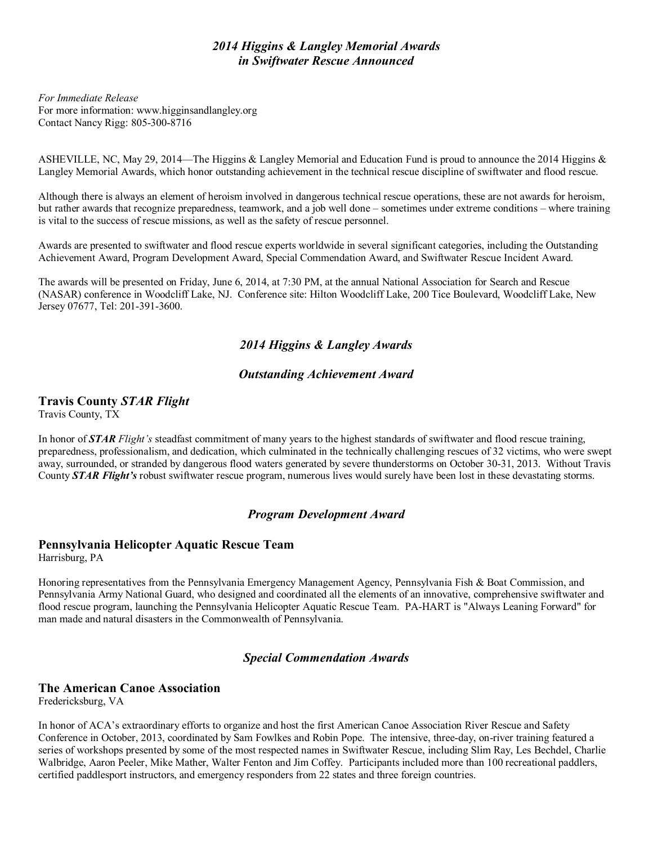## *2014 Higgins & Langley Memorial Awards in Swiftwater Rescue Announced*

*For Immediate Release* For more information: www.higginsandlangley.org Contact Nancy Rigg: 805-300-8716

ASHEVILLE, NC, May 29, 2014—The Higgins & Langley Memorial and Education Fund is proud to announce the 2014 Higgins & Langley Memorial Awards, which honor outstanding achievement in the technical rescue discipline of swiftwater and flood rescue.

Although there is always an element of heroism involved in dangerous technical rescue operations, these are not awards for heroism, but rather awards that recognize preparedness, teamwork, and a job well done – sometimes under extreme conditions – where training is vital to the success of rescue missions, as well as the safety of rescue personnel.

Awards are presented to swiftwater and flood rescue experts worldwide in several significant categories, including the Outstanding Achievement Award, Program Development Award, Special Commendation Award, and Swiftwater Rescue Incident Award.

The awards will be presented on Friday, June 6, 2014, at 7:30 PM, at the annual National Association for Search and Rescue (NASAR) conference in Woodcliff Lake, NJ. Conference site: Hilton Woodcliff Lake, 200 Tice Boulevard, Woodcliff Lake, New Jersey 07677, Tel: 201-391-3600.

# *2014 Higgins & Langley Awards*

## *Outstanding Achievement Award*

## **Travis County** *STAR Flight*

Travis County, TX

In honor of *STAR Flight's* steadfast commitment of many years to the highest standards of swiftwater and flood rescue training, preparedness, professionalism, and dedication, which culminated in the technically challenging rescues of 32 victims, who were swept away, surrounded, or stranded by dangerous flood waters generated by severe thunderstorms on October 30-31, 2013. Without Travis County *STAR Flight's* robust swiftwater rescue program, numerous lives would surely have been lost in these devastating storms.

#### *Program Development Award*

## **Pennsylvania Helicopter Aquatic Rescue Team**

Harrisburg, PA

Honoring representatives from the Pennsylvania Emergency Management Agency, Pennsylvania Fish & Boat Commission, and Pennsylvania Army National Guard, who designed and coordinated all the elements of an innovative, comprehensive swiftwater and flood rescue program, launching the Pennsylvania Helicopter Aquatic Rescue Team. PA-HART is "Always Leaning Forward" for man made and natural disasters in the Commonwealth of Pennsylvania.

#### *Special Commendation Awards*

#### **The American Canoe Association**

Fredericksburg, VA

In honor of ACA's extraordinary efforts to organize and host the first American Canoe Association River Rescue and Safety Conference in October, 2013, coordinated by Sam Fowlkes and Robin Pope. The intensive, three-day, on-river training featured a series of workshops presented by some of the most respected names in Swiftwater Rescue, including Slim Ray, Les Bechdel, Charlie Walbridge, Aaron Peeler, Mike Mather, Walter Fenton and Jim Coffey. Participants included more than 100 recreational paddlers, certified paddlesport instructors, and emergency responders from 22 states and three foreign countries.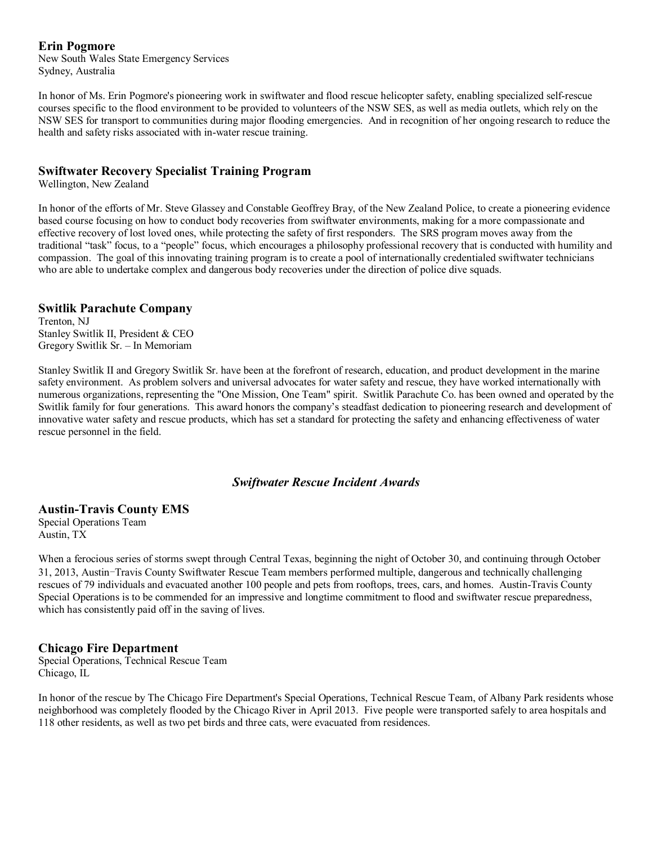#### **Erin Pogmore**

New South Wales State Emergency Services Sydney, Australia

In honor of Ms. Erin Pogmore's pioneering work in swiftwater and flood rescue helicopter safety, enabling specialized self-rescue courses specific to the flood environment to be provided to volunteers of the NSW SES, as well as media outlets, which rely on the NSW SES for transport to communities during major flooding emergencies. And in recognition of her ongoing research to reduce the health and safety risks associated with in-water rescue training.

#### **Swiftwater Recovery Specialist Training Program**

Wellington, New Zealand

In honor of the efforts of Mr. Steve Glassey and Constable Geoffrey Bray, of the New Zealand Police, to create a pioneering evidence based course focusing on how to conduct body recoveries from swiftwater environments, making for a more compassionate and effective recovery of lost loved ones, while protecting the safety of first responders. The SRS program moves away from the traditional "task" focus, to a "people" focus, which encourages a philosophy professional recovery that is conducted with humility and compassion. The goal of this innovating training program is to create a pool of internationally credentialed swiftwater technicians who are able to undertake complex and dangerous body recoveries under the direction of police dive squads.

#### **Switlik Parachute Company**

Trenton, NJ Stanley Switlik II, President & CEO Gregory Switlik Sr. – In Memoriam

Stanley Switlik II and Gregory Switlik Sr. have been at the forefront of research, education, and product development in the marine safety environment. As problem solvers and universal advocates for water safety and rescue, they have worked internationally with numerous organizations, representing the "One Mission, One Team" spirit. Switlik Parachute Co. has been owned and operated by the Switlik family for four generations. This award honors the company's steadfast dedication to pioneering research and development of innovative water safety and rescue products, which has set a standard for protecting the safety and enhancing effectiveness of water rescue personnel in the field.

#### *Swiftwater Rescue Incident Awards*

#### **Austin-Travis County EMS**

Special Operations Team Austin, TX

When a ferocious series of storms swept through Central Texas, beginning the night of October 30, and continuing through October 31, 2013, Austin-Travis County Swiftwater Rescue Team members performed multiple, dangerous and technically challenging rescues of 79 individuals and evacuated another 100 people and pets from rooftops, trees, cars, and homes. Austin-Travis County Special Operations is to be commended for an impressive and longtime commitment to flood and swiftwater rescue preparedness, which has consistently paid off in the saving of lives.

#### **Chicago Fire Department**

Special Operations, Technical Rescue Team Chicago, IL

In honor of the rescue by The Chicago Fire Department's Special Operations, Technical Rescue Team, of Albany Park residents whose neighborhood was completely flooded by the Chicago River in April 2013. Five people were transported safely to area hospitals and 118 other residents, as well as two pet birds and three cats, were evacuated from residences.